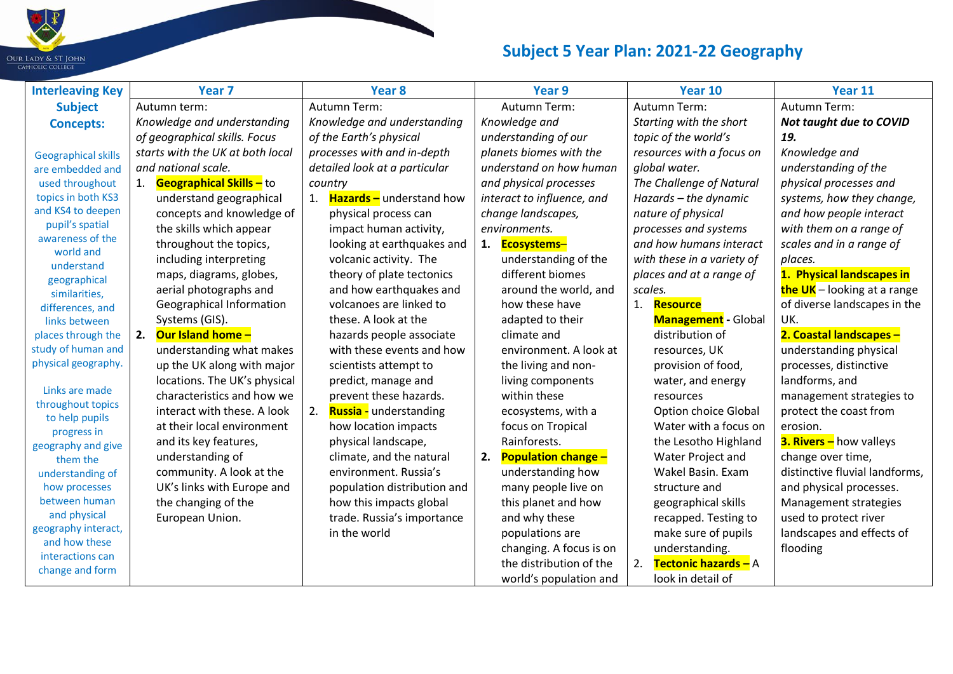

| <b>Interleaving Key</b>              | Year <sub>7</sub>                | Year <sub>8</sub>                  | Year 9                     | Year 10                     | Year 11                        |
|--------------------------------------|----------------------------------|------------------------------------|----------------------------|-----------------------------|--------------------------------|
| <b>Subject</b>                       | Autumn term:                     | Autumn Term:                       | <b>Autumn Term:</b>        | <b>Autumn Term:</b>         | Autumn Term:                   |
| <b>Concepts:</b>                     | Knowledge and understanding      | Knowledge and understanding        | Knowledge and              | Starting with the short     | <b>Not taught due to COVID</b> |
|                                      | of geographical skills. Focus    | of the Earth's physical            | understanding of our       | topic of the world's        | 19.                            |
| <b>Geographical skills</b>           | starts with the UK at both local | processes with and in-depth        | planets biomes with the    | resources with a focus on   | Knowledge and                  |
| are embedded and                     | and national scale.              | detailed look at a particular      | understand on how human    | global water.               | understanding of the           |
| used throughout                      | Geographical Skills - to         | country                            | and physical processes     | The Challenge of Natural    | physical processes and         |
| topics in both KS3                   | understand geographical          | 1. <b>Hazards</b> - understand how | interact to influence, and | Hazards - the dynamic       | systems, how they change,      |
| and KS4 to deepen                    | concepts and knowledge of        | physical process can               | change landscapes,         | nature of physical          | and how people interact        |
| pupil's spatial                      | the skills which appear          | impact human activity,             | environments.              | processes and systems       | with them on a range of        |
| awareness of the<br>world and        | throughout the topics,           | looking at earthquakes and         | 1. Ecosystems-             | and how humans interact     | scales and in a range of       |
| understand                           | including interpreting           | volcanic activity. The             | understanding of the       | with these in a variety of  | places.                        |
| geographical                         | maps, diagrams, globes,          | theory of plate tectonics          | different biomes           | places and at a range of    | 1. Physical landscapes in      |
| similarities,                        | aerial photographs and           | and how earthquakes and            | around the world, and      | scales.                     | the UK - looking at a range    |
| differences, and                     | <b>Geographical Information</b>  | volcanoes are linked to            | how these have             | 1. Resource                 | of diverse landscapes in the   |
| links between                        | Systems (GIS).                   | these. A look at the               | adapted to their           | <b>Management</b> - Global  | UK.                            |
| places through the                   | <b>Our Island home -</b><br>2.   | hazards people associate           | climate and                | distribution of             | 2. Coastal landscapes -        |
| study of human and                   | understanding what makes         | with these events and how          | environment. A look at     | resources, UK               | understanding physical         |
| physical geography.                  | up the UK along with major       | scientists attempt to              | the living and non-        | provision of food,          | processes, distinctive         |
| Links are made                       | locations. The UK's physical     | predict, manage and                | living components          | water, and energy           | landforms, and                 |
| throughout topics                    | characteristics and how we       | prevent these hazards.             | within these               | resources                   | management strategies to       |
| to help pupils                       | interact with these. A look      | 2. Russia - understanding          | ecosystems, with a         | <b>Option choice Global</b> | protect the coast from         |
| progress in                          | at their local environment       | how location impacts               | focus on Tropical          | Water with a focus on       | erosion.                       |
| geography and give                   | and its key features,            | physical landscape,                | Rainforests.               | the Lesotho Highland        | <b>3. Rivers - how valleys</b> |
| them the                             | understanding of                 | climate, and the natural           | 2. Population change -     | Water Project and           | change over time,              |
| understanding of                     | community. A look at the         | environment. Russia's              | understanding how          | Wakel Basin. Exam           | distinctive fluvial landforms, |
| how processes                        | UK's links with Europe and       | population distribution and        | many people live on        | structure and               | and physical processes.        |
| between human                        | the changing of the              | how this impacts global            | this planet and how        | geographical skills         | Management strategies          |
| and physical                         | European Union.                  | trade. Russia's importance         | and why these              | recapped. Testing to        | used to protect river          |
| geography interact,<br>and how these |                                  | in the world                       | populations are            | make sure of pupils         | landscapes and effects of      |
| interactions can                     |                                  |                                    | changing. A focus is on    | understanding.              | flooding                       |
| change and form                      |                                  |                                    | the distribution of the    | Tectonic hazards - A<br>2.  |                                |
|                                      |                                  |                                    | world's population and     | look in detail of           |                                |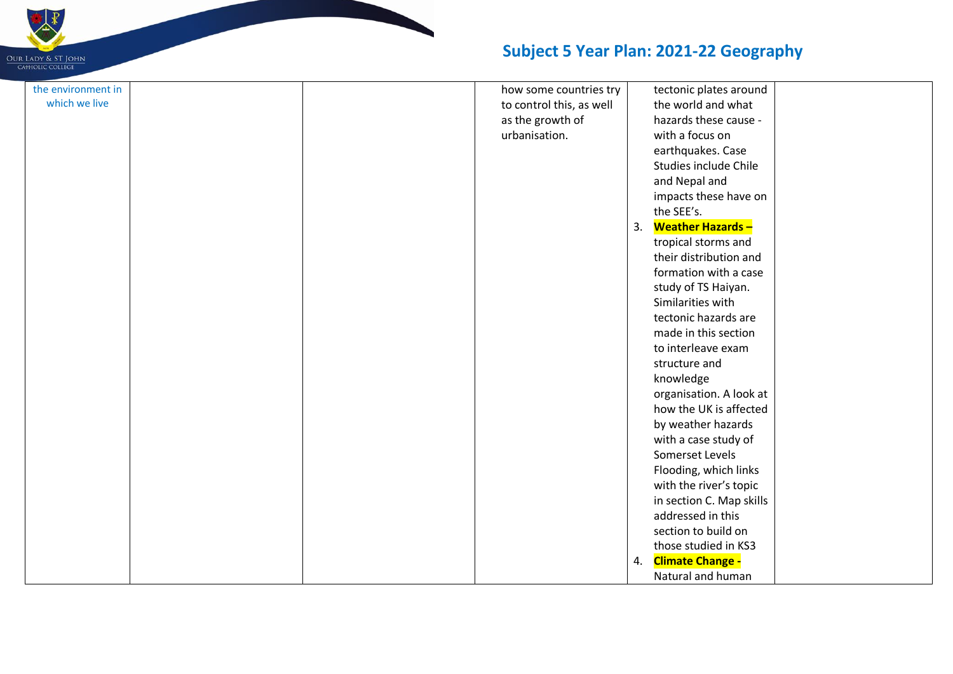

| the environment in |  | how some countries try   |    | tectonic plates around   |  |
|--------------------|--|--------------------------|----|--------------------------|--|
| which we live      |  | to control this, as well |    | the world and what       |  |
|                    |  | as the growth of         |    | hazards these cause -    |  |
|                    |  | urbanisation.            |    | with a focus on          |  |
|                    |  |                          |    | earthquakes. Case        |  |
|                    |  |                          |    | Studies include Chile    |  |
|                    |  |                          |    | and Nepal and            |  |
|                    |  |                          |    | impacts these have on    |  |
|                    |  |                          |    | the SEE's.               |  |
|                    |  |                          | 3. | <b>Weather Hazards-</b>  |  |
|                    |  |                          |    | tropical storms and      |  |
|                    |  |                          |    | their distribution and   |  |
|                    |  |                          |    | formation with a case    |  |
|                    |  |                          |    | study of TS Haiyan.      |  |
|                    |  |                          |    | Similarities with        |  |
|                    |  |                          |    | tectonic hazards are     |  |
|                    |  |                          |    | made in this section     |  |
|                    |  |                          |    | to interleave exam       |  |
|                    |  |                          |    | structure and            |  |
|                    |  |                          |    | knowledge                |  |
|                    |  |                          |    | organisation. A look at  |  |
|                    |  |                          |    | how the UK is affected   |  |
|                    |  |                          |    | by weather hazards       |  |
|                    |  |                          |    | with a case study of     |  |
|                    |  |                          |    | Somerset Levels          |  |
|                    |  |                          |    | Flooding, which links    |  |
|                    |  |                          |    | with the river's topic   |  |
|                    |  |                          |    | in section C. Map skills |  |
|                    |  |                          |    | addressed in this        |  |
|                    |  |                          |    | section to build on      |  |
|                    |  |                          |    | those studied in KS3     |  |
|                    |  |                          | 4. | <b>Climate Change -</b>  |  |
|                    |  |                          |    | Natural and human        |  |
|                    |  |                          |    |                          |  |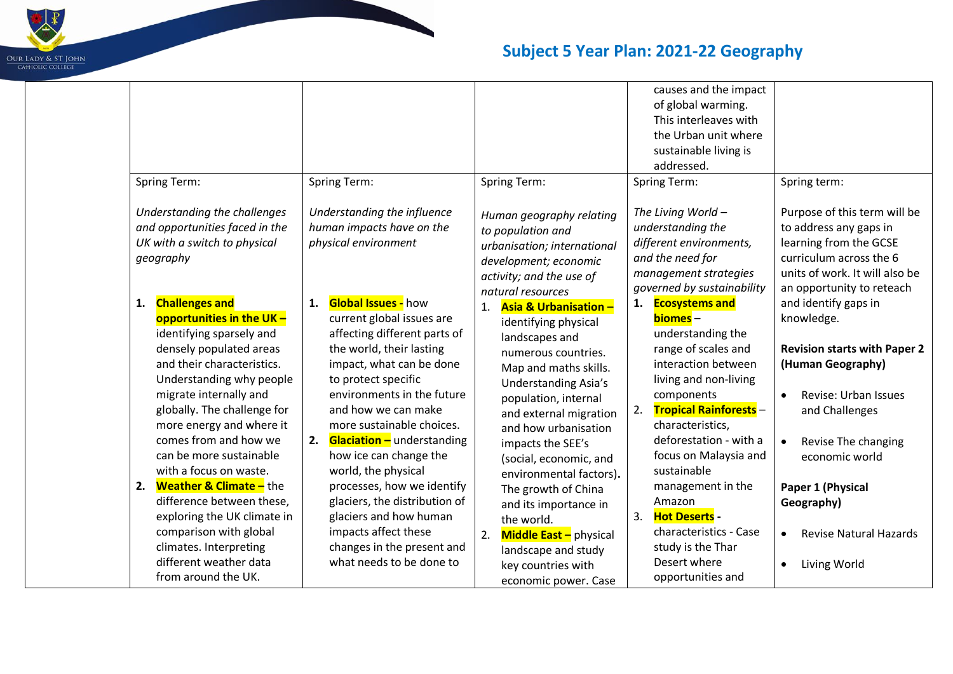

| Spring Term:<br>Understanding the challenges<br>and opportunities faced in the<br>UK with a switch to physical                                                                                                                                                                                                                                                                                                                                                                                                                                            | <b>Spring Term:</b><br>Understanding the influence<br>human impacts have on the<br>physical environment                                                                                                                                                                                                                                                                                                                                                                                                                               | Spring Term:<br>Human geography relating<br>to population and                                                                                                                                                                                                                                                                                                                                                                                                               | causes and the impact<br>of global warming.<br>This interleaves with<br>the Urban unit where<br>sustainable living is<br>addressed.<br><b>Spring Term:</b><br>The Living World -<br>understanding the<br>different environments,                                                                                                                                                                                      | Spring term:<br>Purpose of this term will be<br>to address any gaps in<br>learning from the GCSE                                                                                                                                                                                                             |
|-----------------------------------------------------------------------------------------------------------------------------------------------------------------------------------------------------------------------------------------------------------------------------------------------------------------------------------------------------------------------------------------------------------------------------------------------------------------------------------------------------------------------------------------------------------|---------------------------------------------------------------------------------------------------------------------------------------------------------------------------------------------------------------------------------------------------------------------------------------------------------------------------------------------------------------------------------------------------------------------------------------------------------------------------------------------------------------------------------------|-----------------------------------------------------------------------------------------------------------------------------------------------------------------------------------------------------------------------------------------------------------------------------------------------------------------------------------------------------------------------------------------------------------------------------------------------------------------------------|-----------------------------------------------------------------------------------------------------------------------------------------------------------------------------------------------------------------------------------------------------------------------------------------------------------------------------------------------------------------------------------------------------------------------|--------------------------------------------------------------------------------------------------------------------------------------------------------------------------------------------------------------------------------------------------------------------------------------------------------------|
| geography                                                                                                                                                                                                                                                                                                                                                                                                                                                                                                                                                 |                                                                                                                                                                                                                                                                                                                                                                                                                                                                                                                                       | urbanisation; international<br>development; economic<br>activity; and the use of<br>natural resources                                                                                                                                                                                                                                                                                                                                                                       | and the need for<br>management strategies<br>governed by sustainability                                                                                                                                                                                                                                                                                                                                               | curriculum across the 6<br>units of work. It will also be<br>an opportunity to reteach                                                                                                                                                                                                                       |
| <b>Challenges and</b><br>1.<br>opportunities in the UK -<br>identifying sparsely and<br>densely populated areas<br>and their characteristics.<br>Understanding why people<br>migrate internally and<br>globally. The challenge for<br>more energy and where it<br>comes from and how we<br>can be more sustainable<br>with a focus on waste.<br><b>Weather &amp; Climate -</b> the<br>2.<br>difference between these,<br>exploring the UK climate in<br>comparison with global<br>climates. Interpreting<br>different weather data<br>from around the UK. | <b>Global Issues - how</b><br>1.<br>current global issues are<br>affecting different parts of<br>the world, their lasting<br>impact, what can be done<br>to protect specific<br>environments in the future<br>and how we can make<br>more sustainable choices.<br><b>Glaciation -</b> understanding<br>2.<br>how ice can change the<br>world, the physical<br>processes, how we identify<br>glaciers, the distribution of<br>glaciers and how human<br>impacts affect these<br>changes in the present and<br>what needs to be done to | Asia & Urbanisation -<br>1.<br>identifying physical<br>landscapes and<br>numerous countries.<br>Map and maths skills.<br><b>Understanding Asia's</b><br>population, internal<br>and external migration<br>and how urbanisation<br>impacts the SEE's<br>(social, economic, and<br>environmental factors).<br>The growth of China<br>and its importance in<br>the world.<br>Middle East - physical<br>2.<br>landscape and study<br>key countries with<br>economic power. Case | 1. Ecosystems and<br>biomes -<br>understanding the<br>range of scales and<br>interaction between<br>living and non-living<br>components<br><b>Tropical Rainforests -</b><br>2.<br>characteristics,<br>deforestation - with a<br>focus on Malaysia and<br>sustainable<br>management in the<br>Amazon<br>3.<br><b>Hot Deserts -</b><br>characteristics - Case<br>study is the Thar<br>Desert where<br>opportunities and | and identify gaps in<br>knowledge.<br><b>Revision starts with Paper 2</b><br>(Human Geography)<br>Revise: Urban Issues<br>$\bullet$<br>and Challenges<br>Revise The changing<br>economic world<br>Paper 1 (Physical<br>Geography)<br><b>Revise Natural Hazards</b><br>$\bullet$<br>Living World<br>$\bullet$ |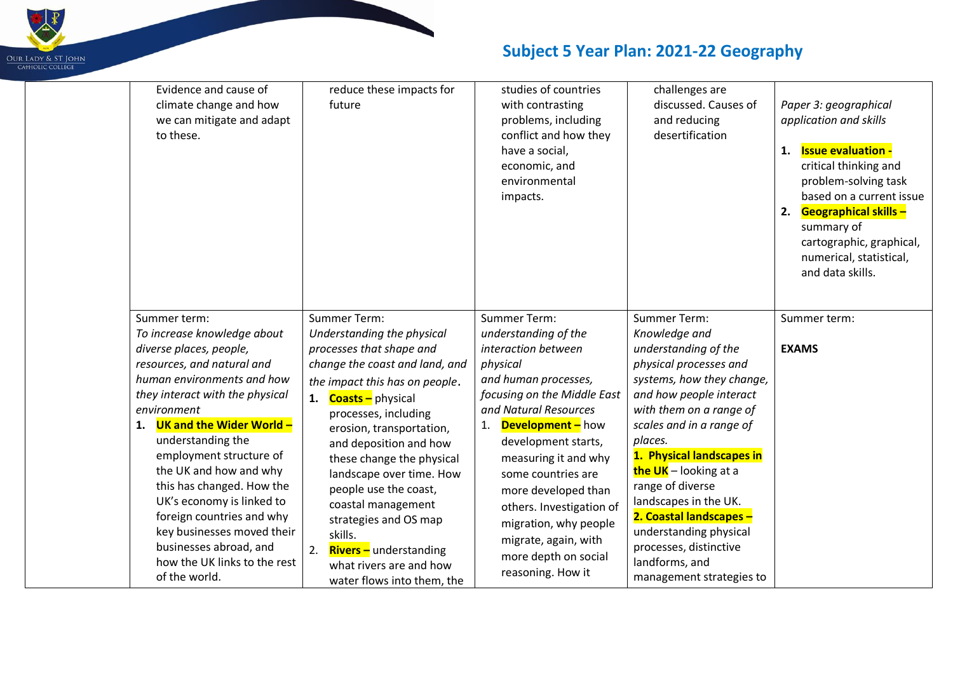

| Evidence and cause of<br>climate change and how<br>we can mitigate and adapt<br>to these. | reduce these impacts for<br>future          | studies of countries<br>with contrasting<br>problems, including<br>conflict and how they<br>have a social,<br>economic, and<br>environmental<br>impacts. | challenges are<br>discussed. Causes of<br>and reducing<br>desertification | Paper 3: geographical<br>application and skills<br><b>Issue evaluation -</b><br>1.<br>critical thinking and<br>problem-solving task<br>based on a current issue<br><b>Geographical skills -</b><br>2.<br>summary of<br>cartographic, graphical,<br>numerical, statistical,<br>and data skills. |
|-------------------------------------------------------------------------------------------|---------------------------------------------|----------------------------------------------------------------------------------------------------------------------------------------------------------|---------------------------------------------------------------------------|------------------------------------------------------------------------------------------------------------------------------------------------------------------------------------------------------------------------------------------------------------------------------------------------|
| Summer term:                                                                              | <b>Summer Term:</b>                         | <b>Summer Term:</b>                                                                                                                                      | <b>Summer Term:</b>                                                       | Summer term:                                                                                                                                                                                                                                                                                   |
| To increase knowledge about                                                               | Understanding the physical                  | understanding of the                                                                                                                                     | Knowledge and                                                             |                                                                                                                                                                                                                                                                                                |
| diverse places, people,                                                                   | processes that shape and                    | interaction between                                                                                                                                      | understanding of the                                                      | <b>EXAMS</b>                                                                                                                                                                                                                                                                                   |
| resources, and natural and                                                                | change the coast and land, and              | physical                                                                                                                                                 | physical processes and                                                    |                                                                                                                                                                                                                                                                                                |
| human environments and how                                                                | the impact this has on people.              | and human processes,                                                                                                                                     | systems, how they change,                                                 |                                                                                                                                                                                                                                                                                                |
| they interact with the physical                                                           | 1. <b>Coasts</b> - physical                 | focusing on the Middle East                                                                                                                              | and how people interact                                                   |                                                                                                                                                                                                                                                                                                |
| environment                                                                               | processes, including                        | and Natural Resources                                                                                                                                    | with them on a range of                                                   |                                                                                                                                                                                                                                                                                                |
| 1. UK and the Wider World -                                                               | erosion, transportation,                    | 1. <b>Development</b> - how                                                                                                                              | scales and in a range of                                                  |                                                                                                                                                                                                                                                                                                |
| understanding the                                                                         | and deposition and how                      | development starts,                                                                                                                                      | places.                                                                   |                                                                                                                                                                                                                                                                                                |
| employment structure of<br>the UK and how and why                                         | these change the physical                   | measuring it and why                                                                                                                                     | 1. Physical landscapes in                                                 |                                                                                                                                                                                                                                                                                                |
| this has changed. How the                                                                 | landscape over time. How                    | some countries are                                                                                                                                       | the UK - looking at a<br>range of diverse                                 |                                                                                                                                                                                                                                                                                                |
| UK's economy is linked to                                                                 | people use the coast,                       | more developed than                                                                                                                                      | landscapes in the UK.                                                     |                                                                                                                                                                                                                                                                                                |
| foreign countries and why                                                                 | coastal management<br>strategies and OS map | others. Investigation of                                                                                                                                 | 2. Coastal landscapes -                                                   |                                                                                                                                                                                                                                                                                                |
| key businesses moved their                                                                | skills.                                     | migration, why people                                                                                                                                    | understanding physical                                                    |                                                                                                                                                                                                                                                                                                |
| businesses abroad, and                                                                    | 2.<br><b>Rivers</b> - understanding         | migrate, again, with                                                                                                                                     | processes, distinctive                                                    |                                                                                                                                                                                                                                                                                                |
| how the UK links to the rest                                                              | what rivers are and how                     | more depth on social                                                                                                                                     | landforms, and                                                            |                                                                                                                                                                                                                                                                                                |
| of the world.                                                                             | water flows into them, the                  | reasoning. How it                                                                                                                                        | management strategies to                                                  |                                                                                                                                                                                                                                                                                                |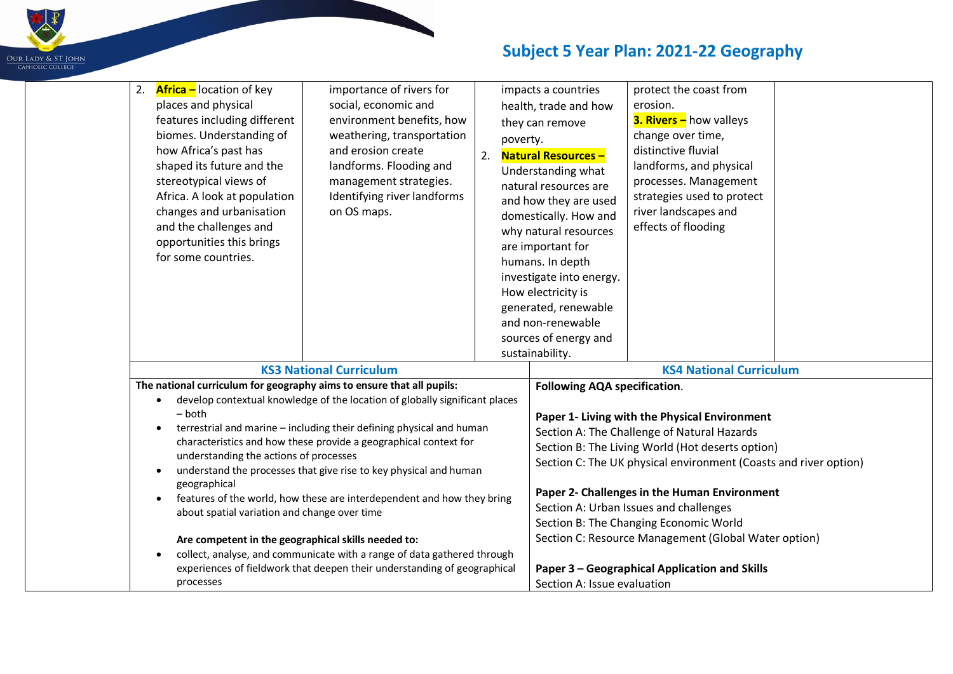

| 2. <b>Africa</b> – location of key<br>places and physical<br>features including different<br>biomes. Understanding of<br>how Africa's past has<br>shaped its future and the<br>stereotypical views of<br>Africa. A look at population<br>changes and urbanisation<br>and the challenges and<br>opportunities this brings<br>for some countries. | importance of rivers for<br>social, economic and<br>environment benefits, how<br>weathering, transportation<br>and erosion create<br>landforms. Flooding and<br>management strategies.<br>Identifying river landforms<br>on OS maps. | 2. | poverty. | impacts a countries<br>health, trade and how<br>they can remove<br><b>Natural Resources-</b><br>Understanding what<br>natural resources are<br>and how they are used<br>domestically. How and<br>why natural resources<br>are important for<br>humans. In depth<br>investigate into energy.<br>How electricity is<br>generated, renewable<br>and non-renewable<br>sources of energy and<br>sustainability. | protect the coast from<br>erosion.<br><b>3. Rivers - how valleys</b><br>change over time,<br>distinctive fluvial<br>landforms, and physical<br>processes. Management<br>strategies used to protect<br>river landscapes and<br>effects of flooding |  |
|-------------------------------------------------------------------------------------------------------------------------------------------------------------------------------------------------------------------------------------------------------------------------------------------------------------------------------------------------|--------------------------------------------------------------------------------------------------------------------------------------------------------------------------------------------------------------------------------------|----|----------|------------------------------------------------------------------------------------------------------------------------------------------------------------------------------------------------------------------------------------------------------------------------------------------------------------------------------------------------------------------------------------------------------------|---------------------------------------------------------------------------------------------------------------------------------------------------------------------------------------------------------------------------------------------------|--|
|                                                                                                                                                                                                                                                                                                                                                 | <b>KS3 National Curriculum</b>                                                                                                                                                                                                       |    |          |                                                                                                                                                                                                                                                                                                                                                                                                            | <b>KS4 National Curriculum</b>                                                                                                                                                                                                                    |  |
| The national curriculum for geography aims to ensure that all pupils:                                                                                                                                                                                                                                                                           |                                                                                                                                                                                                                                      |    |          | <b>Following AQA specification.</b>                                                                                                                                                                                                                                                                                                                                                                        |                                                                                                                                                                                                                                                   |  |
| $\bullet$                                                                                                                                                                                                                                                                                                                                       | develop contextual knowledge of the location of globally significant places                                                                                                                                                          |    |          |                                                                                                                                                                                                                                                                                                                                                                                                            |                                                                                                                                                                                                                                                   |  |
| $-$ both                                                                                                                                                                                                                                                                                                                                        |                                                                                                                                                                                                                                      |    |          |                                                                                                                                                                                                                                                                                                                                                                                                            | Paper 1- Living with the Physical Environment                                                                                                                                                                                                     |  |
|                                                                                                                                                                                                                                                                                                                                                 | terrestrial and marine - including their defining physical and human<br>characteristics and how these provide a geographical context for                                                                                             |    |          |                                                                                                                                                                                                                                                                                                                                                                                                            | Section A: The Challenge of Natural Hazards                                                                                                                                                                                                       |  |
| understanding the actions of processes                                                                                                                                                                                                                                                                                                          |                                                                                                                                                                                                                                      |    |          |                                                                                                                                                                                                                                                                                                                                                                                                            | Section B: The Living World (Hot deserts option)                                                                                                                                                                                                  |  |
|                                                                                                                                                                                                                                                                                                                                                 | understand the processes that give rise to key physical and human                                                                                                                                                                    |    |          |                                                                                                                                                                                                                                                                                                                                                                                                            | Section C: The UK physical environment (Coasts and river option)                                                                                                                                                                                  |  |
| geographical                                                                                                                                                                                                                                                                                                                                    |                                                                                                                                                                                                                                      |    |          |                                                                                                                                                                                                                                                                                                                                                                                                            |                                                                                                                                                                                                                                                   |  |
| $\bullet$                                                                                                                                                                                                                                                                                                                                       | features of the world, how these are interdependent and how they bring                                                                                                                                                               |    |          |                                                                                                                                                                                                                                                                                                                                                                                                            | Paper 2- Challenges in the Human Environment                                                                                                                                                                                                      |  |
| about spatial variation and change over time                                                                                                                                                                                                                                                                                                    |                                                                                                                                                                                                                                      |    |          |                                                                                                                                                                                                                                                                                                                                                                                                            | Section A: Urban Issues and challenges                                                                                                                                                                                                            |  |
|                                                                                                                                                                                                                                                                                                                                                 |                                                                                                                                                                                                                                      |    |          |                                                                                                                                                                                                                                                                                                                                                                                                            | Section B: The Changing Economic World<br>Section C: Resource Management (Global Water option)                                                                                                                                                    |  |
| Are competent in the geographical skills needed to:                                                                                                                                                                                                                                                                                             | collect, analyse, and communicate with a range of data gathered through                                                                                                                                                              |    |          |                                                                                                                                                                                                                                                                                                                                                                                                            |                                                                                                                                                                                                                                                   |  |
|                                                                                                                                                                                                                                                                                                                                                 | experiences of fieldwork that deepen their understanding of geographical                                                                                                                                                             |    |          |                                                                                                                                                                                                                                                                                                                                                                                                            | Paper 3 - Geographical Application and Skills                                                                                                                                                                                                     |  |
| processes                                                                                                                                                                                                                                                                                                                                       |                                                                                                                                                                                                                                      |    |          | Section A: Issue evaluation                                                                                                                                                                                                                                                                                                                                                                                |                                                                                                                                                                                                                                                   |  |